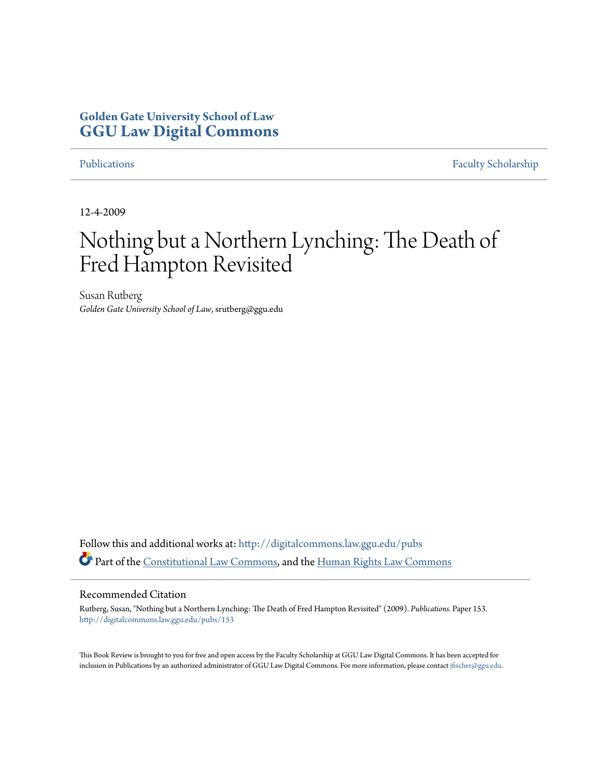### **Golden Gate University School of Law [GGU Law Digital Commons](http://digitalcommons.law.ggu.edu?utm_source=digitalcommons.law.ggu.edu%2Fpubs%2F153&utm_medium=PDF&utm_campaign=PDFCoverPages)**

[Publications](http://digitalcommons.law.ggu.edu/pubs?utm_source=digitalcommons.law.ggu.edu%2Fpubs%2F153&utm_medium=PDF&utm_campaign=PDFCoverPages) [Faculty Scholarship](http://digitalcommons.law.ggu.edu/facultyschol?utm_source=digitalcommons.law.ggu.edu%2Fpubs%2F153&utm_medium=PDF&utm_campaign=PDFCoverPages)

12-4-2009

# Nothing but a Northern Lynching: The Death of Fred Hampton Revisited

Susan Rutberg *Golden Gate University School of Law*, srutberg@ggu.edu

Follow this and additional works at: [http://digitalcommons.law.ggu.edu/pubs](http://digitalcommons.law.ggu.edu/pubs?utm_source=digitalcommons.law.ggu.edu%2Fpubs%2F153&utm_medium=PDF&utm_campaign=PDFCoverPages) Part of the [Constitutional Law Commons,](http://network.bepress.com/hgg/discipline/589?utm_source=digitalcommons.law.ggu.edu%2Fpubs%2F153&utm_medium=PDF&utm_campaign=PDFCoverPages) and the [Human Rights Law Commons](http://network.bepress.com/hgg/discipline/847?utm_source=digitalcommons.law.ggu.edu%2Fpubs%2F153&utm_medium=PDF&utm_campaign=PDFCoverPages)

#### Recommended Citation

Rutberg, Susan, "Nothing but a Northern Lynching: The Death of Fred Hampton Revisited" (2009). *Publications.* Paper 153. [http://digitalcommons.law.ggu.edu/pubs/153](http://digitalcommons.law.ggu.edu/pubs/153?utm_source=digitalcommons.law.ggu.edu%2Fpubs%2F153&utm_medium=PDF&utm_campaign=PDFCoverPages)

This Book Review is brought to you for free and open access by the Faculty Scholarship at GGU Law Digital Commons. It has been accepted for inclusion in Publications by an authorized administrator of GGU Law Digital Commons. For more information, please contact [jfischer@ggu.edu.](mailto:jfischer@ggu.edu)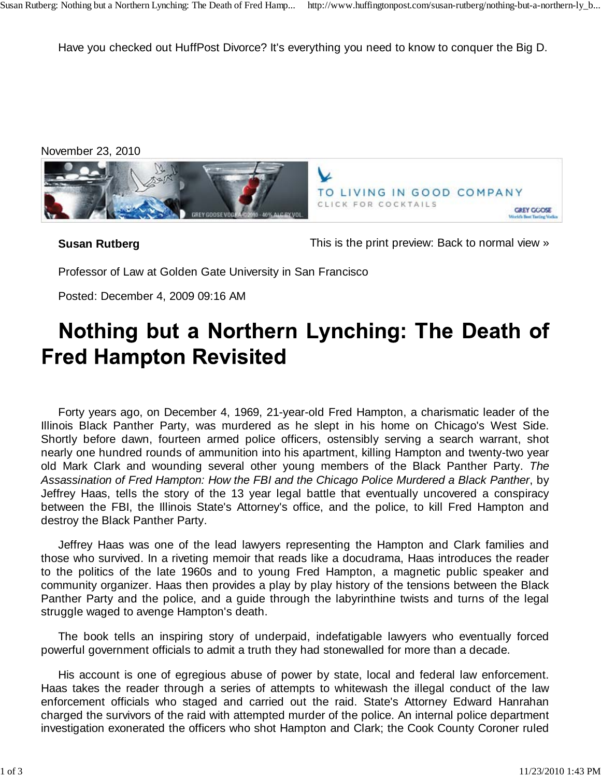Professor of Law at Golden Gate University in San Francisco

Posted: December 4, 2009 09:16 AM

# Nothing but a Northern Lynching: The Death of **Fred Hampton Revisited**

Forty years ago, on December 4, 1969, 21-year-old Fred Hampton, a charismatic leader of the Illinois Black Panther Party, was murdered as he slept in his home on Chicago's West Side. Shortly before dawn, fourteen armed police officers, ostensibly serving a search warrant, shot nearly one hundred rounds of ammunition into his apartment, killing Hampton and twenty-two year old Mark Clark and wounding several other young members of the Black Panther Party. *The Assassination of Fred Hampton: How the FBI and the Chicago Police Murdered a Black Panther*, by Jeffrey Haas, tells the story of the 13 year legal battle that eventually uncovered a conspiracy between the FBI, the Illinois State's Attorney's office, and the police, to kill Fred Hampton and destroy the Black Panther Party.

Jeffrey Haas was one of the lead lawyers representing the Hampton and Clark families and those who survived. In a riveting memoir that reads like a docudrama, Haas introduces the reader to the politics of the late 1960s and to young Fred Hampton, a magnetic public speaker and community organizer. Haas then provides a play by play history of the tensions between the Black Panther Party and the police, and a guide through the labyrinthine twists and turns of the legal struggle waged to avenge Hampton's death.

The book tells an inspiring story of underpaid, indefatigable lawyers who eventually forced powerful government officials to admit a truth they had stonewalled for more than a decade.

His account is one of egregious abuse of power by state, local and federal law enforcement. Haas takes the reader through a series of attempts to whitewash the illegal conduct of the law enforcement officials who staged and carried out the raid. State's Attorney Edward Hanrahan charged the survivors of the raid with attempted murder of the police. An internal police department investigation exonerated the officers who shot Hampton and Clark; the Cook County Coroner ruled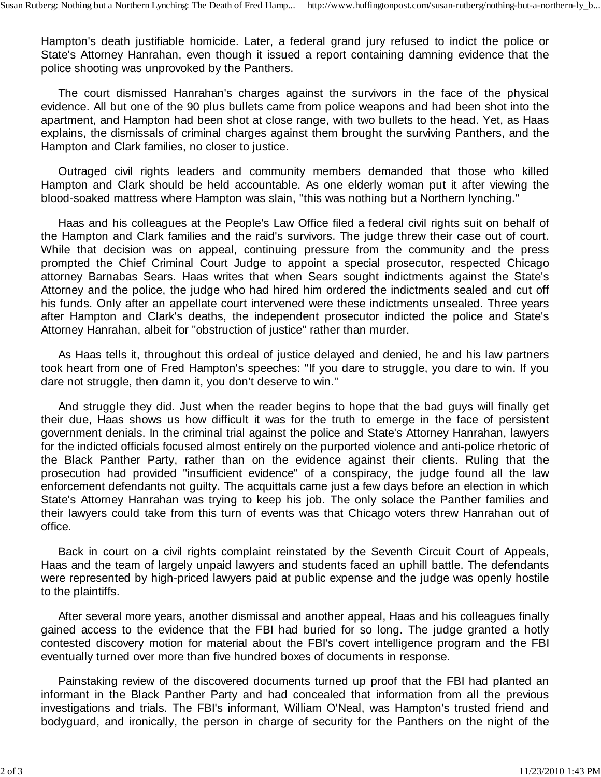Hampton's death justifiable homicide. Later, a federal grand jury refused to indict the police or State's Attorney Hanrahan, even though it issued a report containing damning evidence that the police shooting was unprovoked by the Panthers.

The court dismissed Hanrahan's charges against the survivors in the face of the physical evidence. All but one of the 90 plus bullets came from police weapons and had been shot into the apartment, and Hampton had been shot at close range, with two bullets to the head. Yet, as Haas explains, the dismissals of criminal charges against them brought the surviving Panthers, and the Hampton and Clark families, no closer to justice.

Outraged civil rights leaders and community members demanded that those who killed Hampton and Clark should be held accountable. As one elderly woman put it after viewing the blood-soaked mattress where Hampton was slain, "this was nothing but a Northern lynching."

Haas and his colleagues at the People's Law Office filed a federal civil rights suit on behalf of the Hampton and Clark families and the raid's survivors. The judge threw their case out of court. While that decision was on appeal, continuing pressure from the community and the press prompted the Chief Criminal Court Judge to appoint a special prosecutor, respected Chicago attorney Barnabas Sears. Haas writes that when Sears sought indictments against the State's Attorney and the police, the judge who had hired him ordered the indictments sealed and cut off his funds. Only after an appellate court intervened were these indictments unsealed. Three years after Hampton and Clark's deaths, the independent prosecutor indicted the police and State's Attorney Hanrahan, albeit for "obstruction of justice" rather than murder.

As Haas tells it, throughout this ordeal of justice delayed and denied, he and his law partners took heart from one of Fred Hampton's speeches: "If you dare to struggle, you dare to win. If you dare not struggle, then damn it, you don't deserve to win."

And struggle they did. Just when the reader begins to hope that the bad guys will finally get their due, Haas shows us how difficult it was for the truth to emerge in the face of persistent government denials. In the criminal trial against the police and State's Attorney Hanrahan, lawyers for the indicted officials focused almost entirely on the purported violence and anti-police rhetoric of the Black Panther Party, rather than on the evidence against their clients. Ruling that the prosecution had provided "insufficient evidence" of a conspiracy, the judge found all the law enforcement defendants not guilty. The acquittals came just a few days before an election in which State's Attorney Hanrahan was trying to keep his job. The only solace the Panther families and their lawyers could take from this turn of events was that Chicago voters threw Hanrahan out of office.

Back in court on a civil rights complaint reinstated by the Seventh Circuit Court of Appeals, Haas and the team of largely unpaid lawyers and students faced an uphill battle. The defendants were represented by high-priced lawyers paid at public expense and the judge was openly hostile to the plaintiffs.

After several more years, another dismissal and another appeal, Haas and his colleagues finally gained access to the evidence that the FBI had buried for so long. The judge granted a hotly contested discovery motion for material about the FBI's covert intelligence program and the FBI eventually turned over more than five hundred boxes of documents in response.

Painstaking review of the discovered documents turned up proof that the FBI had planted an informant in the Black Panther Party and had concealed that information from all the previous investigations and trials. The FBI's informant, William O'Neal, was Hampton's trusted friend and bodyguard, and ironically, the person in charge of security for the Panthers on the night of the